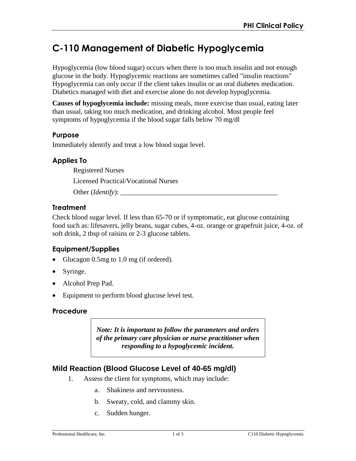# **C-110 Management of Diabetic Hypoglycemia**

Hypoglycemia (low blood sugar) occurs when there is too much insulin and not enough glucose in the body. Hypoglycemic reactions are sometimes called "insulin reactions" Hypoglycemia can only occur if the client takes insulin or an oral diabetes medication. Diabetics managed with diet and exercise alone do not develop hypoglycemia.

**Causes of hypoglycemia include:** missing meals, more exercise than usual, eating later than usual, taking too much medication, and drinking alcohol. Most people feel symptoms of hypoglycemia if the blood sugar falls below 70 mg/dl

## **Purpose**

Immediately identify and treat a low blood sugar level.

# **Applies To**

Registered Nurses

Licensed Practical/Vocational Nurses

Other (*Identify*):

# **Treatment**

Check blood sugar level. If less than 65-70 or if symptomatic, eat glucose containing food such as: lifesavers, jelly beans, sugar cubes, 4-oz. orange or grapefruit juice, 4-oz. of soft drink, 2 tbsp of raisins or 2-3 glucose tablets.

# **Equipment/Supplies**

- Glucagon 0.5mg to 1.0 mg (if ordered).
- Syringe.
- Alcohol Prep Pad.
- Equipment to perform blood glucose level test.

# **Procedure**

*Note: It is important to follow the parameters and orders of the primary care physician or nurse practitioner when responding to a hypoglycemic incident.* 

# **Mild Reaction (Blood Glucose Level of 40-65 mg/dl)**

- 1. Assess the client for symptoms, which may include:
	- a. Shakiness and nervousness.
	- b. Sweaty, cold, and clammy skin.
	- c. Sudden hunger.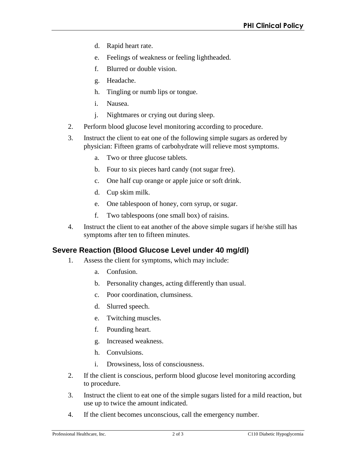- d. Rapid heart rate.
- e. Feelings of weakness or feeling lightheaded.
- f. Blurred or double vision.
- g. Headache.
- h. Tingling or numb lips or tongue.
- i. Nausea.
- j. Nightmares or crying out during sleep.
- 2. Perform blood glucose level monitoring according to procedure.
- 3. Instruct the client to eat one of the following simple sugars as ordered by physician: Fifteen grams of carbohydrate will relieve most symptoms.
	- a. Two or three glucose tablets.
	- b. Four to six pieces hard candy (not sugar free).
	- c. One half cup orange or apple juice or soft drink.
	- d. Cup skim milk.
	- e. One tablespoon of honey, corn syrup, or sugar.
	- f. Two tablespoons (one small box) of raisins.
- 4. Instruct the client to eat another of the above simple sugars if he/she still has symptoms after ten to fifteen minutes.

# **Severe Reaction (Blood Glucose Level under 40 mg/dl)**

- 1. Assess the client for symptoms, which may include:
	- a. Confusion.
	- b. Personality changes, acting differently than usual.
	- c. Poor coordination, clumsiness.
	- d. Slurred speech.
	- e. Twitching muscles.
	- f. Pounding heart.
	- g. Increased weakness.
	- h. Convulsions.
	- i. Drowsiness, loss of consciousness.
- 2. If the client is conscious, perform blood glucose level monitoring according to procedure.
- 3. Instruct the client to eat one of the simple sugars listed for a mild reaction, but use up to twice the amount indicated.
- 4. If the client becomes unconscious, call the emergency number.